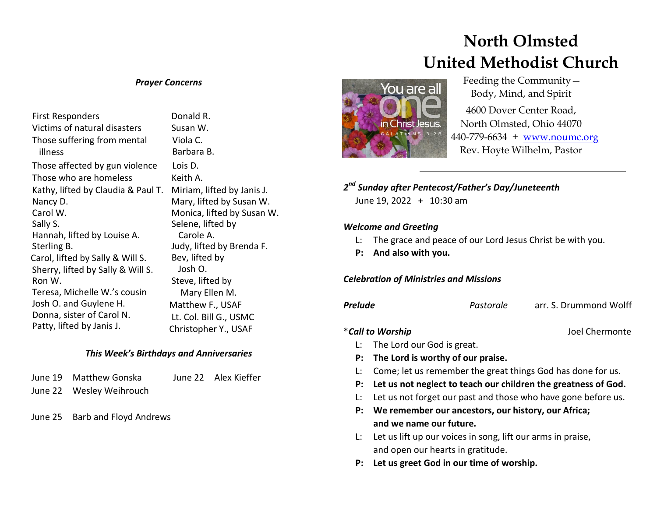#### *Prayer Concerns*

First Responders **Donald R.** Victims of natural disasters Susan W. Those suffering from mental illness Those affected by gun violence Lois D. Those who are homeless Keith A. Kathy, lifted by Claudia & Paul T. Miriam, lifted by Janis J. Nancy D. Carol W. Sally S. Hannah, lifted by Louise A. Sterling B. Carol, lifted by Sally & Will S. Sherry, lifted by Sally & Will S. Ron W. Teresa, Michelle W.'s cousin Josh O. and Guylene H. Donna, sister of Carol N. Patty, lifted by Janis J.

Viola C. Barbara B. Mary, lifted by Susan W. Monica, lifted by Susan W. Selene, lifted by Carole A. Judy, lifted by Brenda F. Bev, lifted by Josh O. Steve, lifted by Mary Ellen M. Matthew F., USAF Lt. Col. Bill G., USMC Christopher Y., USAF

## *This Week's Birthdays and Anniversaries*

| June 19 Matthew Gonska   | June 22 Alex Kieffer |  |
|--------------------------|----------------------|--|
| June 22 Wesley Weihrouch |                      |  |

June 25 Barb and Floyd Andrews

# **North Olmsted United Methodist Church**



 Feeding the Community— Body, Mind, and Spirit 4600 Dover Center Road, North Olmsted, Ohio 44070 440-779-6634 + [www.noumc.org](http://www.noumc.org/) Rev. Hoyte Wilhelm, Pastor

*2 nd Sunday after Pentecost/Father's Day/Juneteenth*  June 19, 2022 + 10:30 am

#### *Welcome and Greeting*

- L: The grace and peace of our Lord Jesus Christ be with you.
- **P: And also with you.**

*Celebration of Ministries and Missions*

*Prelude Pastorale* arr. S. Drummond Wolff

\**Call to Worship* Joel Chermonte

- L: The Lord our God is great.
- **P: The Lord is worthy of our praise.**
- L: Come; let us remember the great things God has done for us.
- **P: Let us not neglect to teach our children the greatness of God.**
- L: Let us not forget our past and those who have gone before us.
- **P: We remember our ancestors, our history, our Africa; and we name our future.**
- L: Let us lift up our voices in song, lift our arms in praise, and open our hearts in gratitude.
- **P: Let us greet God in our time of worship.**